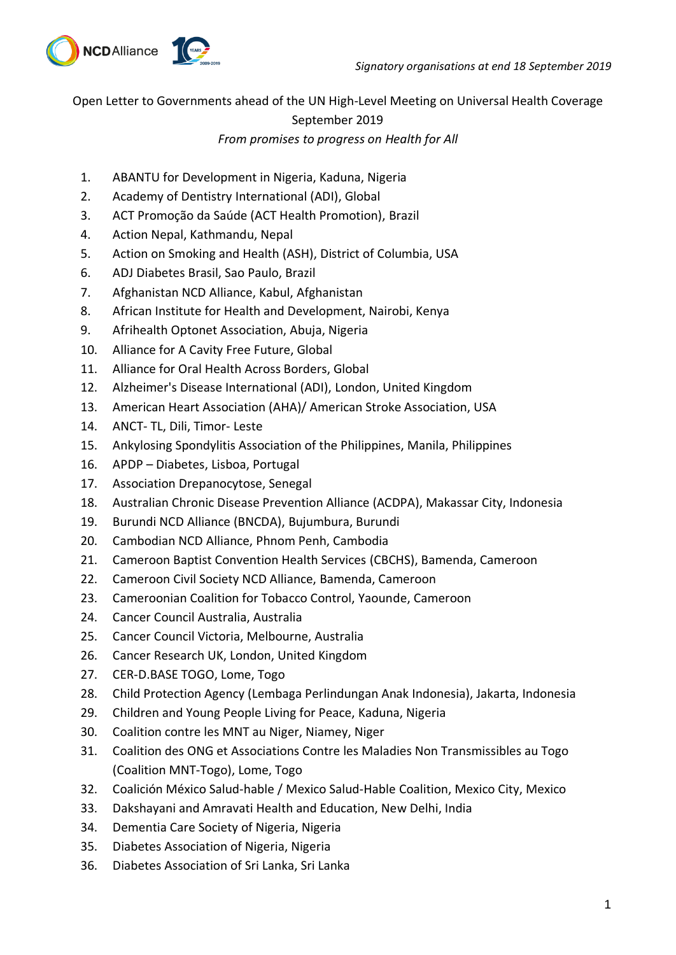

Open Letter to Governments ahead of the UN High-Level Meeting on Universal Health Coverage September 2019

## *From promises to progress on Health for All*

- 1. ABANTU for Development in Nigeria, Kaduna, Nigeria
- 2. Academy of Dentistry International (ADI), Global
- 3. ACT Promoção da Saúde (ACT Health Promotion), Brazil
- 4. Action Nepal, Kathmandu, Nepal
- 5. Action on Smoking and Health (ASH), District of Columbia, USA
- 6. ADJ Diabetes Brasil, Sao Paulo, Brazil
- 7. Afghanistan NCD Alliance, Kabul, Afghanistan
- 8. African Institute for Health and Development, Nairobi, Kenya
- 9. Afrihealth Optonet Association, Abuja, Nigeria
- 10. Alliance for A Cavity Free Future, Global
- 11. Alliance for Oral Health Across Borders, Global
- 12. Alzheimer's Disease International (ADI), London, United Kingdom
- 13. American Heart Association (AHA)/ American Stroke Association, USA
- 14. ANCT- TL, Dili, Timor- Leste
- 15. Ankylosing Spondylitis Association of the Philippines, Manila, Philippines
- 16. APDP Diabetes, Lisboa, Portugal
- 17. Association Drepanocytose, Senegal
- 18. Australian Chronic Disease Prevention Alliance (ACDPA), Makassar City, Indonesia
- 19. Burundi NCD Alliance (BNCDA), Bujumbura, Burundi
- 20. Cambodian NCD Alliance, Phnom Penh, Cambodia
- 21. Cameroon Baptist Convention Health Services (CBCHS), Bamenda, Cameroon
- 22. Cameroon Civil Society NCD Alliance, Bamenda, Cameroon
- 23. Cameroonian Coalition for Tobacco Control, Yaounde, Cameroon
- 24. Cancer Council Australia, Australia
- 25. Cancer Council Victoria, Melbourne, Australia
- 26. Cancer Research UK, London, United Kingdom
- 27. CER-D.BASE TOGO, Lome, Togo
- 28. Child Protection Agency (Lembaga Perlindungan Anak Indonesia), Jakarta, Indonesia
- 29. Children and Young People Living for Peace, Kaduna, Nigeria
- 30. Coalition contre les MNT au Niger, Niamey, Niger
- 31. Coalition des ONG et Associations Contre les Maladies Non Transmissibles au Togo (Coalition MNT-Togo), Lome, Togo
- 32. Coalición México Salud-hable / Mexico Salud-Hable Coalition, Mexico City, Mexico
- 33. Dakshayani and Amravati Health and Education, New Delhi, India
- 34. Dementia Care Society of Nigeria, Nigeria
- 35. Diabetes Association of Nigeria, Nigeria
- 36. Diabetes Association of Sri Lanka, Sri Lanka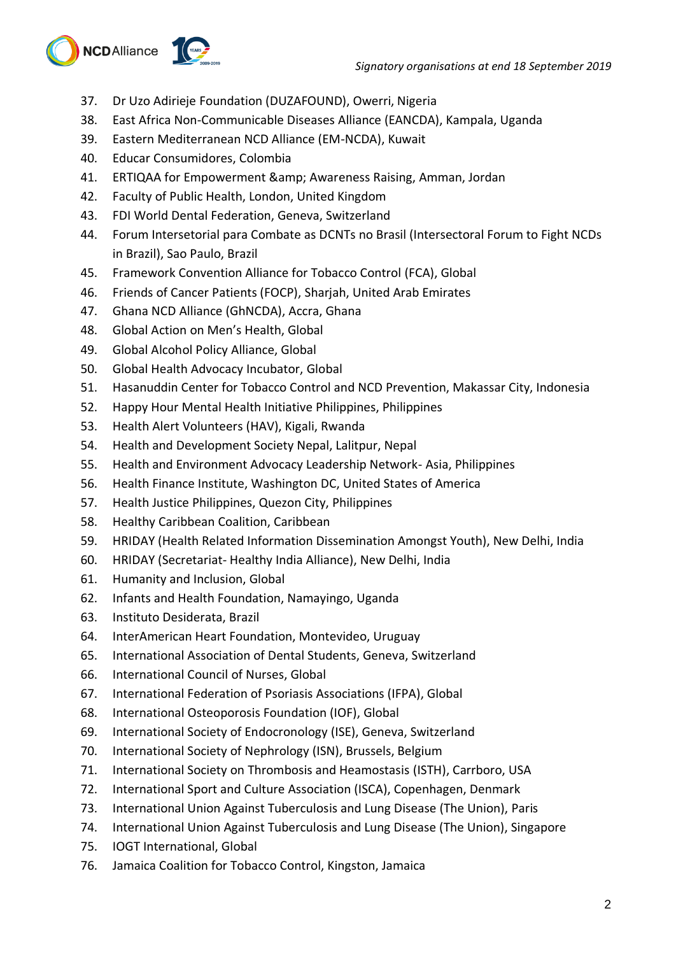

- 37. Dr Uzo Adirieje Foundation (DUZAFOUND), Owerri, Nigeria
- 38. East Africa Non-Communicable Diseases Alliance (EANCDA), Kampala, Uganda
- 39. Eastern Mediterranean NCD Alliance (EM-NCDA), Kuwait
- 40. Educar Consumidores, Colombia
- 41. ERTIQAA for Empowerment & amp; Awareness Raising, Amman, Jordan
- 42. Faculty of Public Health, London, United Kingdom
- 43. FDI World Dental Federation, Geneva, Switzerland
- 44. Forum Intersetorial para Combate as DCNTs no Brasil (Intersectoral Forum to Fight NCDs in Brazil), Sao Paulo, Brazil
- 45. Framework Convention Alliance for Tobacco Control (FCA), Global
- 46. Friends of Cancer Patients (FOCP), Sharjah, United Arab Emirates
- 47. Ghana NCD Alliance (GhNCDA), Accra, Ghana
- 48. Global Action on Men's Health, Global
- 49. Global Alcohol Policy Alliance, Global
- 50. Global Health Advocacy Incubator, Global
- 51. Hasanuddin Center for Tobacco Control and NCD Prevention, Makassar City, Indonesia
- 52. Happy Hour Mental Health Initiative Philippines, Philippines
- 53. Health Alert Volunteers (HAV), Kigali, Rwanda
- 54. Health and Development Society Nepal, Lalitpur, Nepal
- 55. Health and Environment Advocacy Leadership Network- Asia, Philippines
- 56. Health Finance Institute, Washington DC, United States of America
- 57. Health Justice Philippines, Quezon City, Philippines
- 58. Healthy Caribbean Coalition, Caribbean
- 59. HRIDAY (Health Related Information Dissemination Amongst Youth), New Delhi, India
- 60. HRIDAY (Secretariat- Healthy India Alliance), New Delhi, India
- 61. Humanity and Inclusion, Global
- 62. Infants and Health Foundation, Namayingo, Uganda
- 63. Instituto Desiderata, Brazil
- 64. InterAmerican Heart Foundation, Montevideo, Uruguay
- 65. International Association of Dental Students, Geneva, Switzerland
- 66. International Council of Nurses, Global
- 67. International Federation of Psoriasis Associations (IFPA), Global
- 68. International Osteoporosis Foundation (IOF), Global
- 69. International Society of Endocronology (ISE), Geneva, Switzerland
- 70. International Society of Nephrology (ISN), Brussels, Belgium
- 71. International Society on Thrombosis and Heamostasis (ISTH), Carrboro, USA
- 72. International Sport and Culture Association (ISCA), Copenhagen, Denmark
- 73. International Union Against Tuberculosis and Lung Disease (The Union), Paris
- 74. International Union Against Tuberculosis and Lung Disease (The Union), Singapore
- 75. IOGT International, Global
- 76. Jamaica Coalition for Tobacco Control, Kingston, Jamaica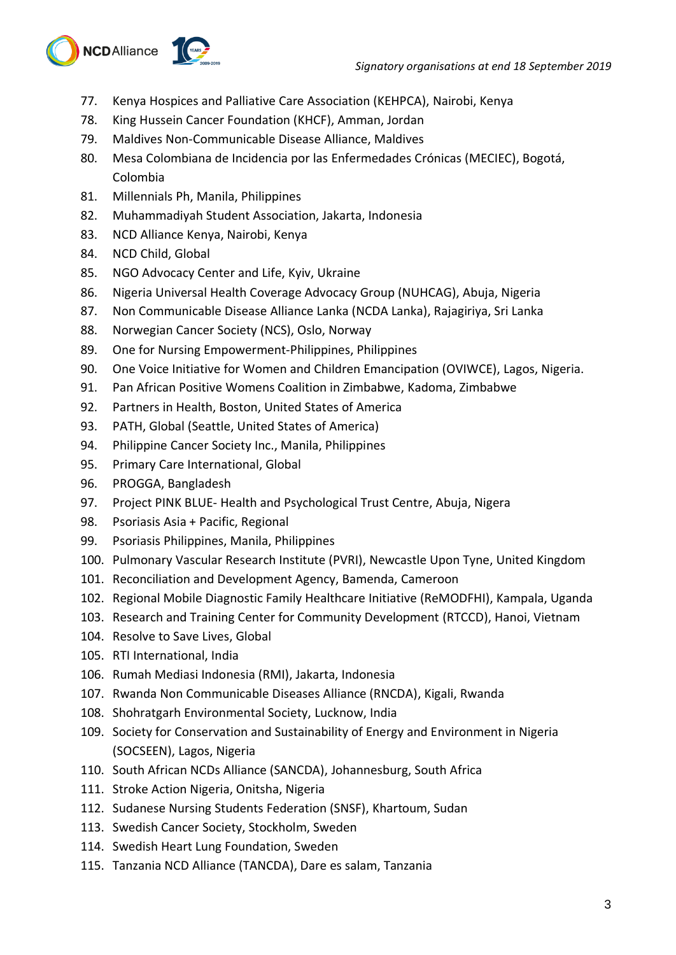

- 77. Kenya Hospices and Palliative Care Association (KEHPCA), Nairobi, Kenya
- 78. King Hussein Cancer Foundation (KHCF), Amman, Jordan
- 79. Maldives Non-Communicable Disease Alliance, Maldives
- 80. Mesa Colombiana de Incidencia por las Enfermedades Crónicas (MECIEC), Bogotá, Colombia
- 81. Millennials Ph, Manila, Philippines
- 82. Muhammadiyah Student Association, Jakarta, Indonesia
- 83. NCD Alliance Kenya, Nairobi, Kenya
- 84. NCD Child, Global
- 85. NGO Advocacy Center and Life, Kyiv, Ukraine
- 86. Nigeria Universal Health Coverage Advocacy Group (NUHCAG), Abuja, Nigeria
- 87. Non Communicable Disease Alliance Lanka (NCDA Lanka), Rajagiriya, Sri Lanka
- 88. Norwegian Cancer Society (NCS), Oslo, Norway
- 89. One for Nursing Empowerment-Philippines, Philippines
- 90. One Voice Initiative for Women and Children Emancipation (OVIWCE), Lagos, Nigeria.
- 91. Pan African Positive Womens Coalition in Zimbabwe, Kadoma, Zimbabwe
- 92. Partners in Health, Boston, United States of America
- 93. PATH, Global (Seattle, United States of America)
- 94. Philippine Cancer Society Inc., Manila, Philippines
- 95. Primary Care International, Global
- 96. PROGGA, Bangladesh
- 97. Project PINK BLUE- Health and Psychological Trust Centre, Abuja, Nigera
- 98. Psoriasis Asia + Pacific, Regional
- 99. Psoriasis Philippines, Manila, Philippines
- 100. Pulmonary Vascular Research Institute (PVRI), Newcastle Upon Tyne, United Kingdom
- 101. Reconciliation and Development Agency, Bamenda, Cameroon
- 102. Regional Mobile Diagnostic Family Healthcare Initiative (ReMODFHI), Kampala, Uganda
- 103. Research and Training Center for Community Development (RTCCD), Hanoi, Vietnam
- 104. Resolve to Save Lives, Global
- 105. RTI International, India
- 106. Rumah Mediasi Indonesia (RMI), Jakarta, Indonesia
- 107. Rwanda Non Communicable Diseases Alliance (RNCDA), Kigali, Rwanda
- 108. Shohratgarh Environmental Society, Lucknow, India
- 109. Society for Conservation and Sustainability of Energy and Environment in Nigeria (SOCSEEN), Lagos, Nigeria
- 110. South African NCDs Alliance (SANCDA), Johannesburg, South Africa
- 111. Stroke Action Nigeria, Onitsha, Nigeria
- 112. Sudanese Nursing Students Federation (SNSF), Khartoum, Sudan
- 113. Swedish Cancer Society, Stockholm, Sweden
- 114. Swedish Heart Lung Foundation, Sweden
- 115. Tanzania NCD Alliance (TANCDA), Dare es salam, Tanzania